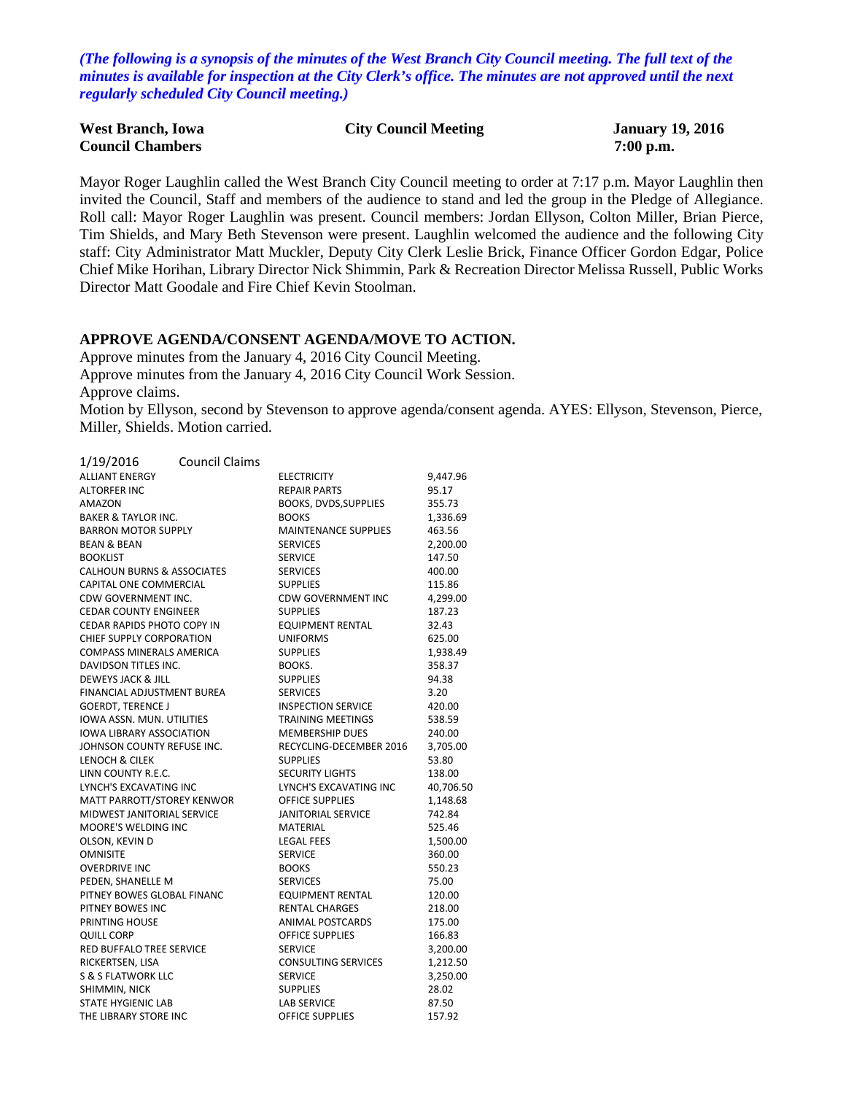*(The following is a synopsis of the minutes of the West Branch City Council meeting. The full text of the minutes is available for inspection at the City Clerk's office. The minutes are not approved until the next regularly scheduled City Council meeting.)*

| <b>West Branch, Iowa</b> | <b>City Council Meeting</b> | <b>January 19, 2016</b> |
|--------------------------|-----------------------------|-------------------------|
| <b>Council Chambers</b>  |                             | $7:00$ p.m.             |

Mayor Roger Laughlin called the West Branch City Council meeting to order at 7:17 p.m. Mayor Laughlin then invited the Council, Staff and members of the audience to stand and led the group in the Pledge of Allegiance. Roll call: Mayor Roger Laughlin was present. Council members: Jordan Ellyson, Colton Miller, Brian Pierce, Tim Shields, and Mary Beth Stevenson were present. Laughlin welcomed the audience and the following City staff: City Administrator Matt Muckler, Deputy City Clerk Leslie Brick, Finance Officer Gordon Edgar, Police Chief Mike Horihan, Library Director Nick Shimmin, Park & Recreation Director Melissa Russell, Public Works Director Matt Goodale and Fire Chief Kevin Stoolman.

#### **APPROVE AGENDA/CONSENT AGENDA/MOVE TO ACTION.**

Approve minutes from the January 4, 2016 City Council Meeting.

Approve minutes from the January 4, 2016 City Council Work Session.

Approve claims.

Motion by Ellyson, second by Stevenson to approve agenda/consent agenda. AYES: Ellyson, Stevenson, Pierce, Miller, Shields. Motion carried.

| 1/19/2016                             | <b>Council Claims</b> |                             |           |
|---------------------------------------|-----------------------|-----------------------------|-----------|
| <b>ALLIANT ENERGY</b>                 |                       | <b>ELECTRICITY</b>          | 9,447.96  |
| <b>ALTORFER INC</b>                   |                       | REPAIR PARTS                | 95.17     |
| AMAZON                                |                       | BOOKS, DVDS, SUPPLIES       | 355.73    |
| <b>BAKER &amp; TAYLOR INC.</b>        |                       | <b>BOOKS</b>                | 1,336.69  |
| <b>BARRON MOTOR SUPPLY</b>            |                       | <b>MAINTENANCE SUPPLIES</b> | 463.56    |
| <b>BEAN &amp; BEAN</b>                |                       | <b>SERVICES</b>             | 2,200.00  |
| <b>BOOKLIST</b>                       |                       | <b>SERVICE</b>              | 147.50    |
| <b>CALHOUN BURNS &amp; ASSOCIATES</b> |                       | <b>SERVICES</b>             | 400.00    |
| CAPITAL ONE COMMERCIAL                |                       | <b>SUPPLIES</b>             | 115.86    |
| CDW GOVERNMENT INC.                   |                       | <b>CDW GOVERNMENT INC</b>   | 4,299.00  |
| <b>CEDAR COUNTY ENGINEER</b>          |                       | <b>SUPPLIES</b>             | 187.23    |
| <b>CEDAR RAPIDS PHOTO COPY IN</b>     |                       | <b>EQUIPMENT RENTAL</b>     | 32.43     |
| <b>CHIEF SUPPLY CORPORATION</b>       |                       | <b>UNIFORMS</b>             | 625.00    |
| <b>COMPASS MINERALS AMERICA</b>       |                       | <b>SUPPLIES</b>             | 1,938.49  |
| DAVIDSON TITLES INC.                  |                       | BOOKS.                      | 358.37    |
| DEWEYS JACK & JILL                    |                       | <b>SUPPLIES</b>             | 94.38     |
| FINANCIAL ADJUSTMENT BUREA            |                       | <b>SERVICES</b>             | 3.20      |
| <b>GOERDT, TERENCE J</b>              |                       | INSPECTION SERVICE          | 420.00    |
| <b>IOWA ASSN. MUN. UTILITIES</b>      |                       | <b>TRAINING MEETINGS</b>    | 538.59    |
| <b>IOWA LIBRARY ASSOCIATION</b>       |                       | <b>MEMBERSHIP DUES</b>      | 240.00    |
| JOHNSON COUNTY REFUSE INC.            |                       | RECYCLING-DECEMBER 2016     | 3,705.00  |
| LENOCH & CILEK                        |                       | <b>SUPPLIES</b>             | 53.80     |
| LINN COUNTY R.E.C.                    |                       | <b>SECURITY LIGHTS</b>      | 138.00    |
| LYNCH'S EXCAVATING INC                |                       | LYNCH'S EXCAVATING INC      | 40,706.50 |
| MATT PARROTT/STOREY KENWOR            |                       | <b>OFFICE SUPPLIES</b>      | 1,148.68  |
| MIDWEST JANITORIAL SERVICE            |                       | <b>JANITORIAL SERVICE</b>   | 742.84    |
| <b>MOORE'S WELDING INC</b>            |                       | <b>MATERIAL</b>             | 525.46    |
| OLSON, KEVIN D                        |                       | <b>LEGAL FEES</b>           | 1,500.00  |
| <b>OMNISITE</b>                       |                       | <b>SERVICE</b>              | 360.00    |
| <b>OVERDRIVE INC</b>                  |                       | <b>BOOKS</b>                | 550.23    |
| PEDEN, SHANELLE M                     |                       | <b>SERVICES</b>             | 75.00     |
| PITNEY BOWES GLOBAL FINANC            |                       | <b>EQUIPMENT RENTAL</b>     | 120.00    |
| PITNEY BOWES INC                      |                       | <b>RENTAL CHARGES</b>       | 218.00    |
| <b>PRINTING HOUSE</b>                 |                       | ANIMAL POSTCARDS            | 175.00    |
| <b>QUILL CORP</b>                     |                       | <b>OFFICE SUPPLIES</b>      | 166.83    |
| <b>RED BUFFALO TREE SERVICE</b>       |                       | <b>SERVICE</b>              | 3,200.00  |
| RICKERTSEN, LISA                      |                       | <b>CONSULTING SERVICES</b>  | 1,212.50  |
| <b>S &amp; S FLATWORK LLC</b>         |                       | <b>SERVICE</b>              | 3,250.00  |
| SHIMMIN, NICK                         |                       | <b>SUPPLIES</b>             | 28.02     |
| <b>STATE HYGIENIC LAB</b>             |                       | <b>LAB SERVICE</b>          | 87.50     |
| THE LIBRARY STORE INC                 |                       | <b>OFFICE SUPPLIES</b>      | 157.92    |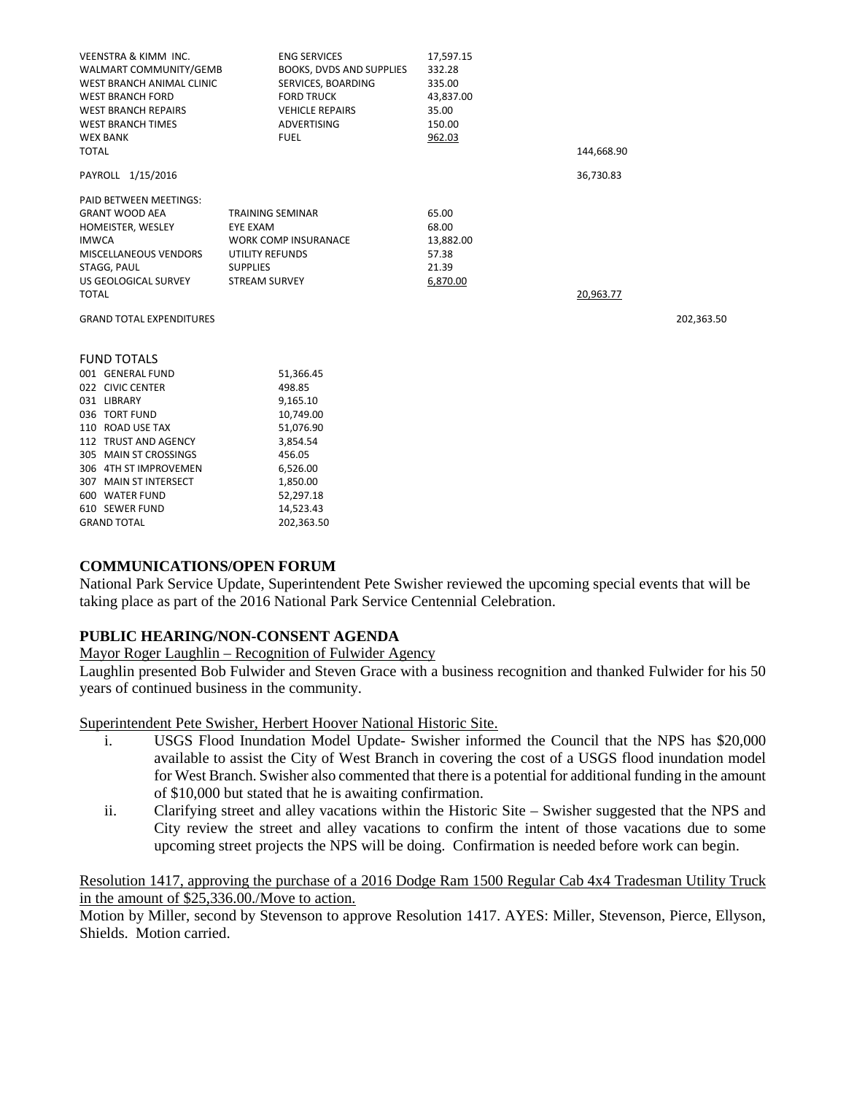| <b>VEENSTRA &amp; KIMM INC.</b><br>WALMART COMMUNITY/GEMB | <b>ENG SERVICES</b><br>BOOKS, DVDS AND SUPPLIES | 17,597.15<br>332.28 |            |            |
|-----------------------------------------------------------|-------------------------------------------------|---------------------|------------|------------|
| WEST BRANCH ANIMAL CLINIC                                 | SERVICES, BOARDING                              | 335.00              |            |            |
| <b>WEST BRANCH FORD</b>                                   | <b>FORD TRUCK</b>                               | 43,837.00           |            |            |
| <b>WEST BRANCH REPAIRS</b>                                | <b>VEHICLE REPAIRS</b>                          | 35.00               |            |            |
| <b>WEST BRANCH TIMES</b>                                  | ADVERTISING                                     | 150.00              |            |            |
| <b>WEX BANK</b>                                           | <b>FUEL</b>                                     | 962.03              |            |            |
| <b>TOTAL</b>                                              |                                                 |                     | 144,668.90 |            |
|                                                           |                                                 |                     |            |            |
| PAYROLL 1/15/2016                                         |                                                 |                     | 36,730.83  |            |
| PAID BETWEEN MEETINGS:                                    |                                                 |                     |            |            |
| <b>GRANT WOOD AEA</b>                                     | <b>TRAINING SEMINAR</b>                         | 65.00               |            |            |
| HOMEISTER, WESLEY                                         | <b>EYE EXAM</b>                                 | 68.00               |            |            |
| <b>IMWCA</b>                                              | <b>WORK COMP INSURANACE</b>                     | 13,882.00           |            |            |
| MISCELLANEOUS VENDORS                                     | UTILITY REFUNDS                                 | 57.38               |            |            |
| STAGG, PAUL                                               | <b>SUPPLIES</b>                                 | 21.39               |            |            |
| US GEOLOGICAL SURVEY                                      | <b>STREAM SURVEY</b>                            | 6,870.00            |            |            |
| <b>TOTAL</b>                                              |                                                 |                     | 20,963.77  |            |
| <b>GRAND TOTAL EXPENDITURES</b>                           |                                                 |                     |            | 202,363.50 |
| <b>FUND TOTALS</b>                                        |                                                 |                     |            |            |
| 001 GENERAL FUND                                          | 51,366.45                                       |                     |            |            |
| 022 CIVIC CENTER                                          | 498.85                                          |                     |            |            |
| 031 LIBRARY                                               | 9,165.10                                        |                     |            |            |
| 036 TORT FUND                                             | 10,749.00                                       |                     |            |            |
| 110 ROAD USE TAX                                          | 51,076.90                                       |                     |            |            |
| 112 TRUST AND AGENCY                                      | 3,854.54                                        |                     |            |            |
| 305 MAIN ST CROSSINGS                                     | 456.05                                          |                     |            |            |
| 306 4TH ST IMPROVEMEN                                     | 6,526.00                                        |                     |            |            |
| 307 MAIN ST INTERSECT                                     | 1,850.00                                        |                     |            |            |
| 600 WATER FUND                                            | 52,297.18                                       |                     |            |            |
| 610 SEWER FUND                                            | 14,523.43                                       |                     |            |            |
| <b>GRAND TOTAL</b>                                        | 202,363.50                                      |                     |            |            |

### **COMMUNICATIONS/OPEN FORUM**

National Park Service Update, Superintendent Pete Swisher reviewed the upcoming special events that will be taking place as part of the 2016 National Park Service Centennial Celebration.

### **PUBLIC HEARING/NON-CONSENT AGENDA**

Mayor Roger Laughlin – Recognition of Fulwider Agency

Laughlin presented Bob Fulwider and Steven Grace with a business recognition and thanked Fulwider for his 50 years of continued business in the community.

Superintendent Pete Swisher, Herbert Hoover National Historic Site.

- i. USGS Flood Inundation Model Update- Swisher informed the Council that the NPS has \$20,000 available to assist the City of West Branch in covering the cost of a USGS flood inundation model for West Branch. Swisher also commented that there is a potential for additional funding in the amount of \$10,000 but stated that he is awaiting confirmation.
- ii. Clarifying street and alley vacations within the Historic Site Swisher suggested that the NPS and City review the street and alley vacations to confirm the intent of those vacations due to some upcoming street projects the NPS will be doing. Confirmation is needed before work can begin.

### Resolution 1417, approving the purchase of a 2016 Dodge Ram 1500 Regular Cab 4x4 Tradesman Utility Truck in the amount of \$25,336.00./Move to action.

Motion by Miller, second by Stevenson to approve Resolution 1417. AYES: Miller, Stevenson, Pierce, Ellyson, Shields. Motion carried.